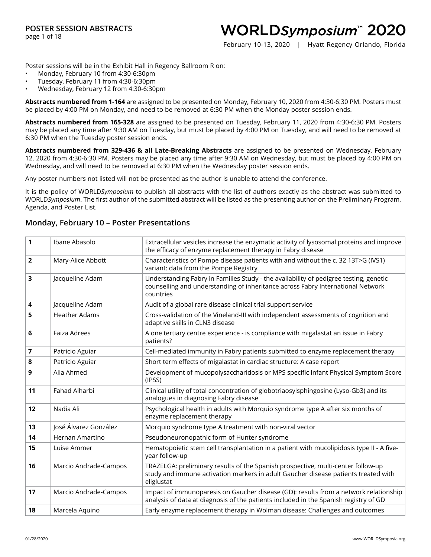page 1 of 18

### WORLDSymposium™ 2020

February 10-13, 2020 | Hyatt Regency Orlando, Florida

Poster sessions will be in the Exhibit Hall in Regency Ballroom R on:

- Monday, February 10 from 4:30-6:30pm
- Tuesday, February 11 from 4:30-6:30pm
- Wednesday, February 12 from 4:30-6:30pm

**Abstracts numbered from 1-164** are assigned to be presented on Monday, February 10, 2020 from 4:30-6:30 PM. Posters must be placed by 4:00 PM on Monday, and need to be removed at 6:30 PM when the Monday poster session ends.

**Abstracts numbered from 165-328** are assigned to be presented on Tuesday, February 11, 2020 from 4:30-6:30 PM. Posters may be placed any time after 9:30 AM on Tuesday, but must be placed by 4:00 PM on Tuesday, and will need to be removed at 6:30 PM when the Tuesday poster session ends.

**Abstracts numbered from 329-436 & all Late-Breaking Abstracts** are assigned to be presented on Wednesday, February 12, 2020 from 4:30-6:30 PM. Posters may be placed any time after 9:30 AM on Wednesday, but must be placed by 4:00 PM on Wednesday, and will need to be removed at 6:30 PM when the Wednesday poster session ends.

Any poster numbers not listed will not be presented as the author is unable to attend the conference.

It is the policy of WORLD*Symposium* to publish all abstracts with the list of authors exactly as the abstract was submitted to WORLD*Symposium*. The first author of the submitted abstract will be listed as the presenting author on the Preliminary Program, Agenda, and Poster List.

#### **1** Ibane Abasolo Extracellular vesicles increase the enzymatic activity of lysosomal proteins and improve the efficacy of enzyme replacement therapy in Fabry disease **2** Mary-Alice Abbott Characteristics of Pompe disease patients with and without the c. 32 13T>G (IVS1) variant: data from the Pompe Registry **3** Jacqueline Adam Understanding Fabry in Families Study - the availability of pedigree testing, genetic counselling and understanding of inheritance across Fabry International Network countries **4** Jacqueline Adam Judit of a global rare disease clinical trial support service **5** Heather Adams **Cross-validation of the Vineland-III** with independent assessments of cognition and adaptive skills in CLN3 disease **6** Faiza Adrees A one tertiary centre experience - is compliance with migalastat an issue in Fabry patients? **7** Patricio Aguiar **Patricio Aguian** Cell-mediated immunity in Fabry patients submitted to enzyme replacement therapy **8** Patricio Aguiar Short term effects of migalastat in cardiac structure: A case report **9** Alia Ahmed Development of mucopolysaccharidosis or MPS specific Infant Physical Symptom Score (IPSS) **11** Fahad Alharbi Clinical utility of total concentration of globotriaosylsphingosine (Lyso-Gb3) and its analogues in diagnosing Fabry disease **12** Nadia Ali Psychological health in adults with Morquio syndrome type A after six months of enzyme replacement therapy **13 José Álvarez González** Morquio syndrome type A treatment with non-viral vector **14** Hernan Amartino **Pseudoneuronopathic form of Hunter syndrome 15** Luise Ammer **Hematopoietic stem cell transplantation in a patient with mucolipidosis type II - A five**year follow-up **16** Marcio Andrade-Campos TRAZELGA: preliminary results of the Spanish prospective, multi-center follow-up study and immune activation markers in adult Gaucher disease patients treated with eliglustat **17** Marcio Andrade-Campos Impact of immunoparesis on Gaucher disease (GD): results from a network relationship analysis of data at diagnosis of the patients included in the Spanish registry of GD **18** Marcela Aquino **Early enzyme replacement therapy in Wolman disease: Challenges and outcomes**

#### **Monday, February 10 – Poster Presentations**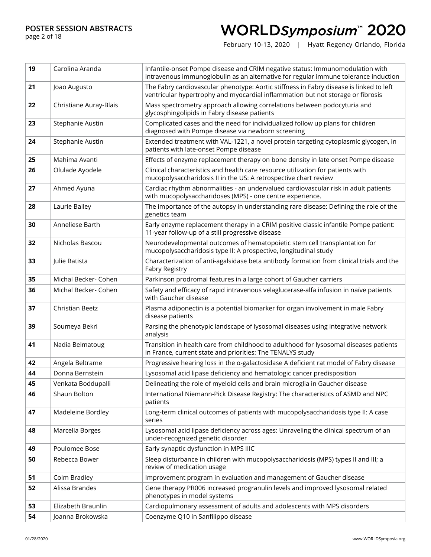page 2 of 18

# WORLDSymposium™ 2020

| 19 | Carolina Aranda        | Infantile-onset Pompe disease and CRIM negative status: Immunomodulation with<br>intravenous immunoglobulin as an alternative for regular immune tolerance induction       |
|----|------------------------|----------------------------------------------------------------------------------------------------------------------------------------------------------------------------|
| 21 | Joao Augusto           | The Fabry cardiovascular phenotype: Aortic stiffness in Fabry disease is linked to left<br>ventricular hypertrophy and myocardial inflammation but not storage or fibrosis |
| 22 | Christiane Auray-Blais | Mass spectrometry approach allowing correlations between podocyturia and<br>glycosphingolipids in Fabry disease patients                                                   |
| 23 | Stephanie Austin       | Complicated cases and the need for individualized follow up plans for children<br>diagnosed with Pompe disease via newborn screening                                       |
| 24 | Stephanie Austin       | Extended treatment with VAL-1221, a novel protein targeting cytoplasmic glycogen, in<br>patients with late-onset Pompe disease                                             |
| 25 | Mahima Avanti          | Effects of enzyme replacement therapy on bone density in late onset Pompe disease                                                                                          |
| 26 | Olulade Ayodele        | Clinical characteristics and health care resource utilization for patients with<br>mucopolysaccharidosis II in the US: A retrospective chart review                        |
| 27 | Ahmed Ayuna            | Cardiac rhythm abnormalities - an undervalued cardiovascular risk in adult patients<br>with mucopolysaccharidoses (MPS) - one centre experience.                           |
| 28 | Laurie Bailey          | The importance of the autopsy in understanding rare disease: Defining the role of the<br>genetics team                                                                     |
| 30 | Anneliese Barth        | Early enzyme replacement therapy in a CRIM positive classic infantile Pompe patient:<br>11-year follow-up of a still progressive disease                                   |
| 32 | Nicholas Bascou        | Neurodevelopmental outcomes of hematopoietic stem cell transplantation for<br>mucopolysaccharidosis type II: A prospective, longitudinal study                             |
| 33 | Julie Batista          | Characterization of anti-agalsidase beta antibody formation from clinical trials and the<br>Fabry Registry                                                                 |
| 35 | Michal Becker- Cohen   | Parkinson prodromal features in a large cohort of Gaucher carriers                                                                                                         |
| 36 | Michal Becker- Cohen   | Safety and efficacy of rapid intravenous velaglucerase-alfa infusion in naïve patients<br>with Gaucher disease                                                             |
| 37 | Christian Beetz        | Plasma adiponectin is a potential biomarker for organ involvement in male Fabry<br>disease patients                                                                        |
| 39 | Soumeya Bekri          | Parsing the phenotypic landscape of lysosomal diseases using integrative network<br>analysis                                                                               |
| 41 | Nadia Belmatoug        | Transition in health care from childhood to adulthood for lysosomal diseases patients<br>in France, current state and priorities: The TENALYS study                        |
| 42 | Angela Beltrame        | Progressive hearing loss in the a-galactosidase A deficient rat model of Fabry disease                                                                                     |
| 44 | Donna Bernstein        | Lysosomal acid lipase deficiency and hematologic cancer predisposition                                                                                                     |
| 45 | Venkata Boddupalli     | Delineating the role of myeloid cells and brain microglia in Gaucher disease                                                                                               |
| 46 | Shaun Bolton           | International Niemann-Pick Disease Registry: The characteristics of ASMD and NPC<br>patients                                                                               |
| 47 | Madeleine Bordley      | Long-term clinical outcomes of patients with mucopolysaccharidosis type II: A case<br>series                                                                               |
| 48 | Marcella Borges        | Lysosomal acid lipase deficiency across ages: Unraveling the clinical spectrum of an<br>under-recognized genetic disorder                                                  |
| 49 | Poulomee Bose          | Early synaptic dysfunction in MPS IIIC                                                                                                                                     |
| 50 | Rebecca Bower          | Sleep disturbance in children with mucopolysaccharidosis (MPS) types II and III; a<br>review of medication usage                                                           |
| 51 | Colm Bradley           | Improvement program in evaluation and management of Gaucher disease                                                                                                        |
| 52 | Alissa Brandes         | Gene therapy PR006 increased progranulin levels and improved lysosomal related<br>phenotypes in model systems                                                              |
| 53 | Elizabeth Braunlin     | Cardiopulmonary assessment of adults and adolescents with MPS disorders                                                                                                    |
| 54 | Joanna Brokowska       | Coenzyme Q10 in Sanfilippo disease                                                                                                                                         |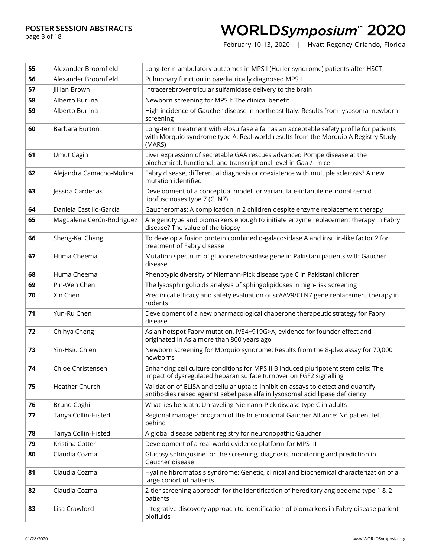page 3 of 18

## WORLDSymposium™ 2020

| 55 | Alexander Broomfield      | Long-term ambulatory outcomes in MPS I (Hurler syndrome) patients after HSCT                                                                                                           |
|----|---------------------------|----------------------------------------------------------------------------------------------------------------------------------------------------------------------------------------|
| 56 | Alexander Broomfield      | Pulmonary function in paediatrically diagnosed MPS I                                                                                                                                   |
| 57 | Jillian Brown             | Intracerebroventricular sulfamidase delivery to the brain                                                                                                                              |
| 58 | Alberto Burlina           | Newborn screening for MPS I: The clinical benefit                                                                                                                                      |
| 59 | Alberto Burlina           | High incidence of Gaucher disease in northeast Italy: Results from lysosomal newborn<br>screening                                                                                      |
| 60 | Barbara Burton            | Long-term treatment with elosulfase alfa has an acceptable safety profile for patients<br>with Morquio syndrome type A: Real-world results from the Morquio A Registry Study<br>(MARS) |
| 61 | Umut Cagin                | Liver expression of secretable GAA rescues advanced Pompe disease at the<br>biochemical, functional, and transcriptional level in Gaa-/- mice                                          |
| 62 | Alejandra Camacho-Molina  | Fabry disease, differential diagnosis or coexistence with multiple sclerosis? A new<br>mutation identified                                                                             |
| 63 | Jessica Cardenas          | Development of a conceptual model for variant late-infantile neuronal ceroid<br>lipofuscinoses type 7 (CLN7)                                                                           |
| 64 | Daniela Castillo-García   | Gaucheromas: A complication in 2 children despite enzyme replacement therapy                                                                                                           |
| 65 | Magdalena Cerón-Rodriguez | Are genotype and biomarkers enough to initiate enzyme replacement therapy in Fabry<br>disease? The value of the biopsy                                                                 |
| 66 | Sheng-Kai Chang           | To develop a fusion protein combined a-galacosidase A and insulin-like factor 2 for<br>treatment of Fabry disease                                                                      |
| 67 | Huma Cheema               | Mutation spectrum of glucocerebrosidase gene in Pakistani patients with Gaucher<br>disease                                                                                             |
| 68 | Huma Cheema               | Phenotypic diversity of Niemann-Pick disease type C in Pakistani children                                                                                                              |
| 69 | Pin-Wen Chen              | The lysosphingolipids analysis of sphingolipidoses in high-risk screening                                                                                                              |
| 70 | Xin Chen                  | Preclinical efficacy and safety evaluation of scAAV9/CLN7 gene replacement therapy in<br>rodents                                                                                       |
| 71 | Yun-Ru Chen               | Development of a new pharmacological chaperone therapeutic strategy for Fabry<br>disease                                                                                               |
| 72 | Chihya Cheng              | Asian hotspot Fabry mutation, IVS4+919G>A, evidence for founder effect and<br>originated in Asia more than 800 years ago                                                               |
| 73 | Yin-Hsiu Chien            | Newborn screening for Morquio syndrome: Results from the 8-plex assay for 70,000<br>newborns                                                                                           |
| 74 | Chloe Christensen         | Enhancing cell culture conditions for MPS IIIB induced pluripotent stem cells: The<br>impact of dysregulated heparan sulfate turnover on FGF2 signalling                               |
| 75 | Heather Church            | Validation of ELISA and cellular uptake inhibition assays to detect and quantify<br>antibodies raised against sebelipase alfa in lysosomal acid lipase deficiency                      |
| 76 | Bruno Coghi               | What lies beneath: Unraveling Niemann-Pick disease type C in adults                                                                                                                    |
| 77 | Tanya Collin-Histed       | Regional manager program of the International Gaucher Alliance: No patient left<br>behind                                                                                              |
| 78 | Tanya Collin-Histed       | A global disease patient registry for neuronopathic Gaucher                                                                                                                            |
| 79 | Kristina Cotter           | Development of a real-world evidence platform for MPS III                                                                                                                              |
| 80 | Claudia Cozma             | Glucosylsphingosine for the screening, diagnosis, monitoring and prediction in<br>Gaucher disease                                                                                      |
| 81 | Claudia Cozma             | Hyaline fibromatosis syndrome: Genetic, clinical and biochemical characterization of a<br>large cohort of patients                                                                     |
| 82 | Claudia Cozma             | 2-tier screening approach for the identification of hereditary angioedema type 1 & 2<br>patients                                                                                       |
| 83 | Lisa Crawford             | Integrative discovery approach to identification of biomarkers in Fabry disease patient<br>biofluids                                                                                   |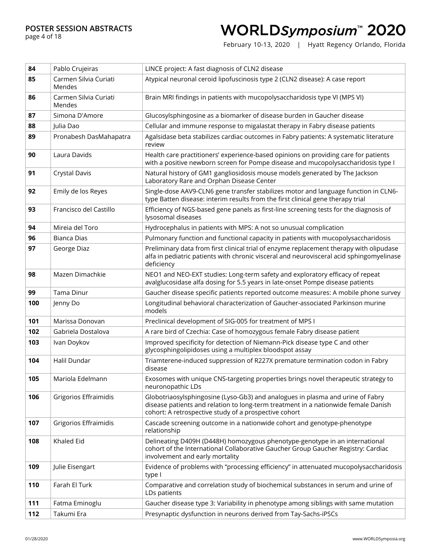page 4 of 18

## WORLDSymposium™ 2020

| 84  | Pablo Crujeiras                 | LINCE project: A fast diagnosis of CLN2 disease                                                                                                                                                                               |
|-----|---------------------------------|-------------------------------------------------------------------------------------------------------------------------------------------------------------------------------------------------------------------------------|
| 85  | Carmen Silvia Curiati<br>Mendes | Atypical neuronal ceroid lipofuscinosis type 2 (CLN2 disease): A case report                                                                                                                                                  |
| 86  | Carmen Silvia Curiati<br>Mendes | Brain MRI findings in patients with mucopolysaccharidosis type VI (MPS VI)                                                                                                                                                    |
| 87  | Simona D'Amore                  | Glucosylsphingosine as a biomarker of disease burden in Gaucher disease                                                                                                                                                       |
| 88  | Julia Dao                       | Cellular and immune response to migalastat therapy in Fabry disease patients                                                                                                                                                  |
| 89  | Pronabesh DasMahapatra          | Agalsidase beta stabilizes cardiac outcomes in Fabry patients: A systematic literature<br>review                                                                                                                              |
| 90  | Laura Davids                    | Health care practitioners' experience-based opinions on providing care for patients<br>with a positive newborn screen for Pompe disease and mucopolysaccharidosis type I                                                      |
| 91  | <b>Crystal Davis</b>            | Natural history of GM1 gangliosidosis mouse models generated by The Jackson<br>Laboratory Rare and Orphan Disease Center                                                                                                      |
| 92  | Emily de los Reyes              | Single-dose AAV9-CLN6 gene transfer stabilizes motor and language function in CLN6-<br>type Batten disease: interim results from the first clinical gene therapy trial                                                        |
| 93  | Francisco del Castillo          | Efficiency of NGS-based gene panels as first-line screening tests for the diagnosis of<br>lysosomal diseases                                                                                                                  |
| 94  | Mireia del Toro                 | Hydrocephalus in patients with MPS: A not so unusual complication                                                                                                                                                             |
| 96  | Bianca Dias                     | Pulmonary function and functional capacity in patients with mucopolysaccharidosis                                                                                                                                             |
| 97  | George Diaz                     | Preliminary data from first clinical trial of enzyme replacement therapy with olipudase<br>alfa in pediatric patients with chronic visceral and neurovisceral acid sphingomyelinase<br>deficiency                             |
| 98  | Mazen Dimachkie                 | NEO1 and NEO-EXT studies: Long-term safety and exploratory efficacy of repeat<br>avalglucosidase alfa dosing for 5.5 years in late-onset Pompe disease patients                                                               |
| 99  | Tama Dinur                      | Gaucher disease specific patients reported outcome measures: A mobile phone survey                                                                                                                                            |
| 100 | Jenny Do                        | Longitudinal behavioral characterization of Gaucher-associated Parkinson murine<br>models                                                                                                                                     |
| 101 | Marissa Donovan                 | Preclinical development of SIG-005 for treatment of MPS I                                                                                                                                                                     |
| 102 | Gabriela Dostalova              | A rare bird of Czechia: Case of homozygous female Fabry disease patient                                                                                                                                                       |
| 103 | Ivan Doykov                     | Improved specificity for detection of Niemann-Pick disease type C and other<br>glycosphingolipidoses using a multiplex bloodspot assay                                                                                        |
| 104 | Halil Dundar                    | Triamterene-induced suppression of R227X premature termination codon in Fabry<br>disease                                                                                                                                      |
| 105 | Mariola Edelmann                | Exosomes with unique CNS-targeting properties brings novel therapeutic strategy to<br>neuronopathic LDs                                                                                                                       |
| 106 | Grigorios Effraimidis           | Globotriaosylsphingosine (Lyso-Gb3) and analogues in plasma and urine of Fabry<br>disease patients and relation to long-term treatment in a nationwide female Danish<br>cohort: A retrospective study of a prospective cohort |
| 107 | Grigorios Effraimidis           | Cascade screening outcome in a nationwide cohort and genotype-phenotype<br>relationship                                                                                                                                       |
| 108 | Khaled Eid                      | Delineating D409H (D448H) homozygous phenotype-genotype in an international<br>cohort of the International Collaborative Gaucher Group Gaucher Registry: Cardiac<br>involvement and early mortality                           |
| 109 | Julie Eisengart                 | Evidence of problems with "processing efficiency" in attenuated mucopolysaccharidosis<br>type I                                                                                                                               |
| 110 | Farah El Turk                   | Comparative and correlation study of biochemical substances in serum and urine of<br>LDs patients                                                                                                                             |
| 111 | Fatma Eminoglu                  | Gaucher disease type 3: Variability in phenotype among siblings with same mutation                                                                                                                                            |
| 112 | Takumi Era                      | Presynaptic dysfunction in neurons derived from Tay-Sachs-iPSCs                                                                                                                                                               |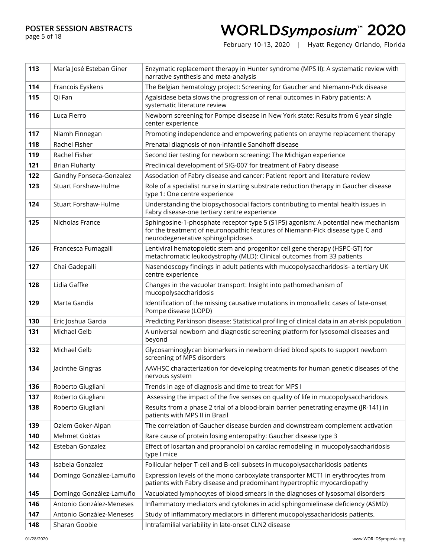#### page 5 of 18

# WORLDSymposium™ 2020

| 113 | María José Esteban Giner    | Enzymatic replacement therapy in Hunter syndrome (MPS II): A systematic review with<br>narrative synthesis and meta-analysis                                                                              |
|-----|-----------------------------|-----------------------------------------------------------------------------------------------------------------------------------------------------------------------------------------------------------|
| 114 | Francois Eyskens            | The Belgian hematology project: Screening for Gaucher and Niemann-Pick disease                                                                                                                            |
| 115 | Qi Fan                      | Agalsidase beta slows the progression of renal outcomes in Fabry patients: A<br>systematic literature review                                                                                              |
| 116 | Luca Fierro                 | Newborn screening for Pompe disease in New York state: Results from 6 year single<br>center experience                                                                                                    |
| 117 | Niamh Finnegan              | Promoting independence and empowering patients on enzyme replacement therapy                                                                                                                              |
| 118 | Rachel Fisher               | Prenatal diagnosis of non-infantile Sandhoff disease                                                                                                                                                      |
| 119 | Rachel Fisher               | Second tier testing for newborn screening: The Michigan experience                                                                                                                                        |
| 121 | <b>Brian Fluharty</b>       | Preclinical development of SIG-007 for treatment of Fabry disease                                                                                                                                         |
| 122 | Gandhy Fonseca-Gonzalez     | Association of Fabry disease and cancer: Patient report and literature review                                                                                                                             |
| 123 | Stuart Forshaw-Hulme        | Role of a specialist nurse in starting substrate reduction therapy in Gaucher disease<br>type 1: One centre experience                                                                                    |
| 124 | <b>Stuart Forshaw-Hulme</b> | Understanding the biopsychosocial factors contributing to mental health issues in<br>Fabry disease-one tertiary centre experience                                                                         |
| 125 | Nicholas France             | Sphingosine-1-phosphate receptor type 5 (S1P5) agonism: A potential new mechanism<br>for the treatment of neuronopathic features of Niemann-Pick disease type C and<br>neurodegenerative sphingolipidoses |
| 126 | Francesca Fumagalli         | Lentiviral hematopoietic stem and progenitor cell gene therapy (HSPC-GT) for<br>metachromatic leukodystrophy (MLD): Clinical outcomes from 33 patients                                                    |
| 127 | Chai Gadepalli              | Nasendoscopy findings in adult patients with mucopolysaccharidosis- a tertiary UK<br>centre experience                                                                                                    |
| 128 | Lidia Gaffke                | Changes in the vacuolar transport: Insight into pathomechanism of<br>mucopolysaccharidosis                                                                                                                |
| 129 | Marta Gandía                | Identification of the missing causative mutations in monoallelic cases of late-onset<br>Pompe disease (LOPD)                                                                                              |
| 130 | Eric Joshua Garcia          | Predicting Parkinson disease: Statistical profiling of clinical data in an at-risk population                                                                                                             |
| 131 | Michael Gelb                | A universal newborn and diagnostic screening platform for lysosomal diseases and<br>beyond                                                                                                                |
| 132 | Michael Gelb                | Glycosaminoglycan biomarkers in newborn dried blood spots to support newborn<br>screening of MPS disorders                                                                                                |
| 134 | Jacinthe Gingras            | AAVHSC characterization for developing treatments for human genetic diseases of the<br>nervous system                                                                                                     |
| 136 | Roberto Giugliani           | Trends in age of diagnosis and time to treat for MPS I                                                                                                                                                    |
| 137 | Roberto Giugliani           | Assessing the impact of the five senses on quality of life in mucopolysaccharidosis                                                                                                                       |
| 138 | Roberto Giugliani           | Results from a phase 2 trial of a blood-brain barrier penetrating enzyme (JR-141) in<br>patients with MPS II in Brazil                                                                                    |
| 139 | Ozlem Goker-Alpan           | The correlation of Gaucher disease burden and downstream complement activation                                                                                                                            |
| 140 | Mehmet Goktas               | Rare cause of protein losing enteropathy: Gaucher disease type 3                                                                                                                                          |
| 142 | Esteban Gonzalez            | Effect of losartan and propranolol on cardiac remodeling in mucopolysaccharidosis<br>type I mice                                                                                                          |
| 143 | Isabela Gonzalez            | Follicular helper T-cell and B-cell subsets in mucopolysaccharidosis patients                                                                                                                             |
| 144 | Domingo González-Lamuño     | Expression levels of the mono carboxylate transporter MCT1 in erythrocytes from<br>patients with Fabry disease and predominant hypertrophic myocardiopathy                                                |
| 145 | Domingo González-Lamuño     | Vacuolated lymphocytes of blood smears in the diagnoses of lysosomal disorders                                                                                                                            |
| 146 | Antonio González-Meneses    | Inflammatory mediators and cytokines in acid sphingomielinase deficiency (ASMD)                                                                                                                           |
| 147 | Antonio González-Meneses    | Study of inflammatory mediators in different mucopolyssacharidosis patients.                                                                                                                              |
| 148 | Sharan Goobie               | Intrafamilial variability in late-onset CLN2 disease                                                                                                                                                      |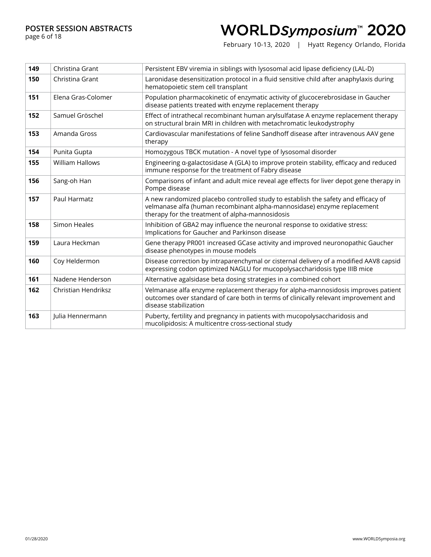page 6 of 18

## WORLDSymposium™ 2020

| 149 | Christina Grant            | Persistent EBV viremia in siblings with lysosomal acid lipase deficiency (LAL-D)                                                                                                                                |
|-----|----------------------------|-----------------------------------------------------------------------------------------------------------------------------------------------------------------------------------------------------------------|
| 150 | Christina Grant            | Laronidase desensitization protocol in a fluid sensitive child after anaphylaxis during<br>hematopoietic stem cell transplant                                                                                   |
| 151 | Elena Gras-Colomer         | Population pharmacokinetic of enzymatic activity of glucocerebrosidase in Gaucher<br>disease patients treated with enzyme replacement therapy                                                                   |
| 152 | Samuel Gröschel            | Effect of intrathecal recombinant human arylsulfatase A enzyme replacement therapy<br>on structural brain MRI in children with metachromatic leukodystrophy                                                     |
| 153 | Amanda Gross               | Cardiovascular manifestations of feline Sandhoff disease after intravenous AAV gene<br>therapy                                                                                                                  |
| 154 | Punita Gupta               | Homozygous TBCK mutation - A novel type of lysosomal disorder                                                                                                                                                   |
| 155 | <b>William Hallows</b>     | Engineering a-galactosidase A (GLA) to improve protein stability, efficacy and reduced<br>immune response for the treatment of Fabry disease                                                                    |
| 156 | Sang-oh Han                | Comparisons of infant and adult mice reveal age effects for liver depot gene therapy in<br>Pompe disease                                                                                                        |
| 157 | Paul Harmatz               | A new randomized placebo controlled study to establish the safety and efficacy of<br>velmanase alfa (human recombinant alpha-mannosidase) enzyme replacement<br>therapy for the treatment of alpha-mannosidosis |
| 158 | Simon Heales               | Inhibition of GBA2 may influence the neuronal response to oxidative stress:<br>Implications for Gaucher and Parkinson disease                                                                                   |
| 159 | Laura Heckman              | Gene therapy PR001 increased GCase activity and improved neuronopathic Gaucher<br>disease phenotypes in mouse models                                                                                            |
| 160 | Coy Heldermon              | Disease correction by intraparenchymal or cisternal delivery of a modified AAV8 capsid<br>expressing codon optimized NAGLU for mucopolysaccharidosis type IIIB mice                                             |
| 161 | Nadene Henderson           | Alternative agalsidase beta dosing strategies in a combined cohort                                                                                                                                              |
| 162 | <b>Christian Hendriksz</b> | Velmanase alfa enzyme replacement therapy for alpha-mannosidosis improves patient<br>outcomes over standard of care both in terms of clinically relevant improvement and<br>disease stabilization               |
| 163 | Iulia Hennermann           | Puberty, fertility and pregnancy in patients with mucopolysaccharidosis and<br>mucolipidosis: A multicentre cross-sectional study                                                                               |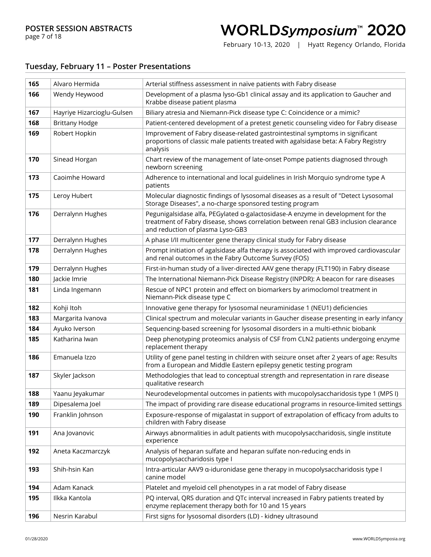## WORLDSymposium™ 2020

February 10-13, 2020 | Hyatt Regency Orlando, Florida

#### **Tuesday, February 11 – Poster Presentations**

| 165 | Alvaro Hermida             | Arterial stiffness assessment in naïve patients with Fabry disease                                                                                                                                         |
|-----|----------------------------|------------------------------------------------------------------------------------------------------------------------------------------------------------------------------------------------------------|
| 166 | Wendy Heywood              | Development of a plasma lyso-Gb1 clinical assay and its application to Gaucher and<br>Krabbe disease patient plasma                                                                                        |
| 167 | Hayriye Hizarcioglu-Gulsen | Biliary atresia and Niemann-Pick disease type C: Coincidence or a mimic?                                                                                                                                   |
| 168 | <b>Brittany Hodge</b>      | Patient-centered development of a pretest genetic counseling video for Fabry disease                                                                                                                       |
| 169 | Robert Hopkin              | Improvement of Fabry disease-related gastrointestinal symptoms in significant<br>proportions of classic male patients treated with agalsidase beta: A Fabry Registry<br>analysis                           |
| 170 | Sinead Horgan              | Chart review of the management of late-onset Pompe patients diagnosed through<br>newborn screening                                                                                                         |
| 173 | Caoimhe Howard             | Adherence to international and local guidelines in Irish Morquio syndrome type A<br>patients                                                                                                               |
| 175 | Leroy Hubert               | Molecular diagnostic findings of lysosomal diseases as a result of "Detect Lysosomal<br>Storage Diseases", a no-charge sponsored testing program                                                           |
| 176 | Derralynn Hughes           | Pegunigalsidase alfa, PEGylated a-galactosidase-A enzyme in development for the<br>treatment of Fabry disease, shows correlation between renal GB3 inclusion clearance<br>and reduction of plasma Lyso-GB3 |
| 177 | Derralynn Hughes           | A phase I/II multicenter gene therapy clinical study for Fabry disease                                                                                                                                     |
| 178 | Derralynn Hughes           | Prompt initiation of agalsidase alfa therapy is associated with improved cardiovascular<br>and renal outcomes in the Fabry Outcome Survey (FOS)                                                            |
| 179 | Derralynn Hughes           | First-in-human study of a liver-directed AAV gene therapy (FLT190) in Fabry disease                                                                                                                        |
| 180 | Jackie Imrie               | The International Niemann-Pick Disease Registry (INPDR): A beacon for rare diseases                                                                                                                        |
| 181 | Linda Ingemann             | Rescue of NPC1 protein and effect on biomarkers by arimoclomol treatment in<br>Niemann-Pick disease type C                                                                                                 |
| 182 | Kohji Itoh                 | Innovative gene therapy for lysosomal neuraminidase 1 (NEU1) deficiencies                                                                                                                                  |
| 183 | Margarita Ivanova          | Clinical spectrum and molecular variants in Gaucher disease presenting in early infancy                                                                                                                    |
| 184 | Ayuko Iverson              | Sequencing-based screening for lysosomal disorders in a multi-ethnic biobank                                                                                                                               |
| 185 | Katharina Iwan             | Deep phenotyping proteomics analysis of CSF from CLN2 patients undergoing enzyme<br>replacement therapy                                                                                                    |
| 186 | Emanuela Izzo              | Utility of gene panel testing in children with seizure onset after 2 years of age: Results<br>from a European and Middle Eastern epilepsy genetic testing program                                          |
| 187 | Skyler Jackson             | Methodologies that lead to conceptual strength and representation in rare disease<br>qualitative research                                                                                                  |
| 188 | Yaanu Jeyakumar            | Neurodevelopmental outcomes in patients with mucopolysaccharidosis type 1 (MPS I)                                                                                                                          |
| 189 | Dipesalema Joel            | The impact of providing rare disease educational programs in resource-limited settings                                                                                                                     |
| 190 | Franklin Johnson           | Exposure-response of migalastat in support of extrapolation of efficacy from adults to<br>children with Fabry disease                                                                                      |
| 191 | Ana Jovanovic              | Airways abnormalities in adult patients with mucopolysaccharidosis, single institute<br>experience                                                                                                         |
| 192 | Aneta Kaczmarczyk          | Analysis of heparan sulfate and heparan sulfate non-reducing ends in<br>mucopolysaccharidosis type I                                                                                                       |
| 193 | Shih-hsin Kan              | Intra-articular AAV9 a-iduronidase gene therapy in mucopolysaccharidosis type I<br>canine model                                                                                                            |
| 194 | Adam Kanack                | Platelet and myeloid cell phenotypes in a rat model of Fabry disease                                                                                                                                       |
| 195 | Ilkka Kantola              | PQ interval, QRS duration and QTc interval increased in Fabry patients treated by<br>enzyme replacement therapy both for 10 and 15 years                                                                   |
| 196 | Nesrin Karabul             | First signs for lysosomal disorders (LD) - kidney ultrasound                                                                                                                                               |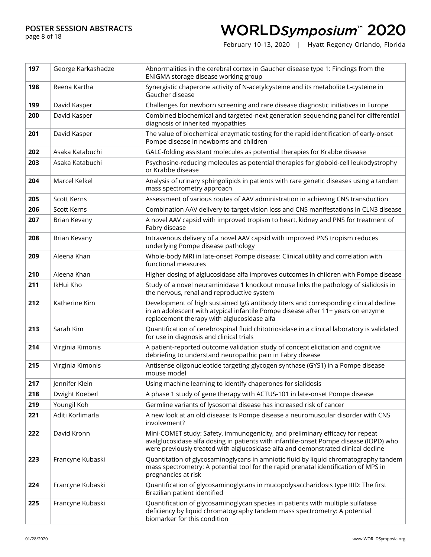page 8 of 18

## WORLDSymposium™ 2020

| 197 | George Karkashadze | Abnormalities in the cerebral cortex in Gaucher disease type 1: Findings from the<br>ENIGMA storage disease working group                                                                                                                                   |
|-----|--------------------|-------------------------------------------------------------------------------------------------------------------------------------------------------------------------------------------------------------------------------------------------------------|
| 198 | Reena Kartha       | Synergistic chaperone activity of N-acetylcysteine and its metabolite L-cysteine in<br>Gaucher disease                                                                                                                                                      |
| 199 | David Kasper       | Challenges for newborn screening and rare disease diagnostic initiatives in Europe                                                                                                                                                                          |
| 200 | David Kasper       | Combined biochemical and targeted-next generation sequencing panel for differential<br>diagnosis of inherited myopathies                                                                                                                                    |
| 201 | David Kasper       | The value of biochemical enzymatic testing for the rapid identification of early-onset<br>Pompe disease in newborns and children                                                                                                                            |
| 202 | Asaka Katabuchi    | GALC-folding assistant molecules as potential therapies for Krabbe disease                                                                                                                                                                                  |
| 203 | Asaka Katabuchi    | Psychosine-reducing molecules as potential therapies for globoid-cell leukodystrophy<br>or Krabbe disease                                                                                                                                                   |
| 204 | Marcel Kelkel      | Analysis of urinary sphingolipids in patients with rare genetic diseases using a tandem<br>mass spectrometry approach                                                                                                                                       |
| 205 | Scott Kerns        | Assessment of various routes of AAV administration in achieving CNS transduction                                                                                                                                                                            |
| 206 | Scott Kerns        | Combination AAV delivery to target vision loss and CNS manifestations in CLN3 disease                                                                                                                                                                       |
| 207 | Brian Kevany       | A novel AAV capsid with improved tropism to heart, kidney and PNS for treatment of<br>Fabry disease                                                                                                                                                         |
| 208 | Brian Kevany       | Intravenous delivery of a novel AAV capsid with improved PNS tropism reduces<br>underlying Pompe disease pathology                                                                                                                                          |
| 209 | Aleena Khan        | Whole-body MRI in late-onset Pompe disease: Clinical utility and correlation with<br>functional measures                                                                                                                                                    |
| 210 | Aleena Khan        | Higher dosing of alglucosidase alfa improves outcomes in children with Pompe disease                                                                                                                                                                        |
| 211 | IkHui Kho          | Study of a novel neuraminidase 1 knockout mouse links the pathology of sialidosis in<br>the nervous, renal and reproductive system                                                                                                                          |
| 212 | Katherine Kim      | Development of high sustained IgG antibody titers and corresponding clinical decline<br>in an adolescent with atypical infantile Pompe disease after 11+ years on enzyme<br>replacement therapy with alglucosidase alfa                                     |
| 213 | Sarah Kim          | Quantification of cerebrospinal fluid chitotriosidase in a clinical laboratory is validated<br>for use in diagnosis and clinical trials                                                                                                                     |
| 214 | Virginia Kimonis   | A patient-reported outcome validation study of concept elicitation and cognitive<br>debriefing to understand neuropathic pain in Fabry disease                                                                                                              |
| 215 | Virginia Kimonis   | Antisense oligonucleotide targeting glycogen synthase (GYS1) in a Pompe disease<br>mouse model                                                                                                                                                              |
| 217 | Jennifer Klein     | Using machine learning to identify chaperones for sialidosis                                                                                                                                                                                                |
| 218 | Dwight Koeberl     | A phase 1 study of gene therapy with ACTUS-101 in late-onset Pompe disease                                                                                                                                                                                  |
| 219 | Youngil Koh        | Germline variants of lysosomal disease has increased risk of cancer                                                                                                                                                                                         |
| 221 | Aditi Korlimarla   | A new look at an old disease: Is Pompe disease a neuromuscular disorder with CNS<br>involvement?                                                                                                                                                            |
| 222 | David Kronn        | Mini-COMET study: Safety, immunogenicity, and preliminary efficacy for repeat<br>avalglucosidase alfa dosing in patients with infantile-onset Pompe disease (IOPD) who<br>were previously treated with alglucosidase alfa and demonstrated clinical decline |
| 223 | Francyne Kubaski   | Quantitation of glycosaminoglycans in amniotic fluid by liquid chromatography tandem<br>mass spectrometry: A potential tool for the rapid prenatal identification of MPS in<br>pregnancies at risk                                                          |
| 224 | Francyne Kubaski   | Quantification of glycosaminoglycans in mucopolysaccharidosis type IIID: The first<br>Brazilian patient identified                                                                                                                                          |
| 225 | Francyne Kubaski   | Quantification of glycosaminoglycan species in patients with multiple sulfatase<br>deficiency by liquid chromatography tandem mass spectrometry: A potential<br>biomarker for this condition                                                                |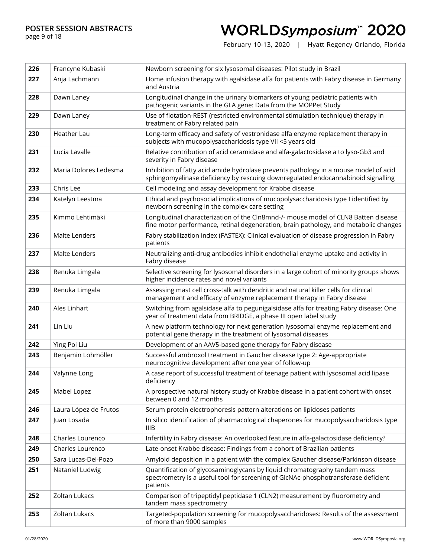page 9 of 18

## WORLDSymposium™ 2020

| 226 | Francyne Kubaski      | Newborn screening for six lysosomal diseases: Pilot study in Brazil                                                                                                         |
|-----|-----------------------|-----------------------------------------------------------------------------------------------------------------------------------------------------------------------------|
| 227 | Anja Lachmann         | Home infusion therapy with agalsidase alfa for patients with Fabry disease in Germany<br>and Austria                                                                        |
| 228 | Dawn Laney            | Longitudinal change in the urinary biomarkers of young pediatric patients with<br>pathogenic variants in the GLA gene: Data from the MOPPet Study                           |
| 229 | Dawn Laney            | Use of flotation-REST (restricted environmental stimulation technique) therapy in<br>treatment of Fabry related pain                                                        |
| 230 | Heather Lau           | Long-term efficacy and safety of vestronidase alfa enzyme replacement therapy in<br>subjects with mucopolysaccharidosis type VII <5 years old                               |
| 231 | Lucia Lavalle         | Relative contribution of acid ceramidase and alfa-galactosidase a to lyso-Gb3 and<br>severity in Fabry disease                                                              |
| 232 | Maria Dolores Ledesma | Inhibition of fatty acid amide hydrolase prevents pathology in a mouse model of acid<br>sphingomyelinase deficiency by rescuing downregulated endocannabinoid signalling    |
| 233 | Chris Lee             | Cell modeling and assay development for Krabbe disease                                                                                                                      |
| 234 | Katelyn Leestma       | Ethical and psychosocial implications of mucopolysaccharidosis type I identified by<br>newborn screening in the complex care setting                                        |
| 235 | Kimmo Lehtimäki       | Longitudinal characterization of the Cln8mnd-/- mouse model of CLN8 Batten disease<br>fine motor performance, retinal degeneration, brain pathology, and metabolic changes  |
| 236 | Malte Lenders         | Fabry stabilization index (FASTEX): Clinical evaluation of disease progression in Fabry<br>patients                                                                         |
| 237 | Malte Lenders         | Neutralizing anti-drug antibodies inhibit endothelial enzyme uptake and activity in<br>Fabry disease                                                                        |
| 238 | Renuka Limgala        | Selective screening for lysosomal disorders in a large cohort of minority groups shows<br>higher incidence rates and novel variants                                         |
| 239 | Renuka Limgala        | Assessing mast cell cross-talk with dendritic and natural killer cells for clinical<br>management and efficacy of enzyme replacement therapy in Fabry disease               |
| 240 | Ales Linhart          | Switching from agalsidase alfa to pegunigalsidase alfa for treating Fabry disease: One<br>year of treatment data from BRIDGE, a phase III open label study                  |
| 241 | Lin Liu               | A new platform technology for next generation lysosomal enzyme replacement and<br>potential gene therapy in the treatment of lysosomal diseases                             |
| 242 | Ying Poi Liu          | Development of an AAV5-based gene therapy for Fabry disease                                                                                                                 |
| 243 | Benjamin Lohmöller    | Successful ambroxol treatment in Gaucher disease type 2: Age-appropriate<br>neurocognitive development after one year of follow-up                                          |
| 244 | Valynne Long          | A case report of successful treatment of teenage patient with lysosomal acid lipase<br>deficiency                                                                           |
| 245 | Mabel Lopez           | A prospective natural history study of Krabbe disease in a patient cohort with onset<br>between 0 and 12 months                                                             |
| 246 | Laura López de Frutos | Serum protein electrophoresis pattern alterations on lipidoses patients                                                                                                     |
| 247 | Juan Losada           | In silico identification of pharmacological chaperones for mucopolysaccharidosis type<br>IIIB                                                                               |
| 248 | Charles Lourenco      | Infertility in Fabry disease: An overlooked feature in alfa-galactosidase deficiency?                                                                                       |
| 249 | Charles Lourenco      | Late-onset Krabbe disease: Findings from a cohort of Brazilian patients                                                                                                     |
| 250 | Sara Lucas-Del-Pozo   | Amyloid deposition in a patient with the complex Gaucher disease/Parkinson disease                                                                                          |
| 251 | Nataniel Ludwig       | Quantification of glycosaminoglycans by liquid chromatography tandem mass<br>spectrometry is a useful tool for screening of GlcNAc-phosphotransferase deficient<br>patients |
| 252 | Zoltan Lukacs         | Comparison of tripeptidyl peptidase 1 (CLN2) measurement by fluorometry and<br>tandem mass spectrometry                                                                     |
| 253 | Zoltan Lukacs         | Targeted-population screening for mucopolysaccharidoses: Results of the assessment<br>of more than 9000 samples                                                             |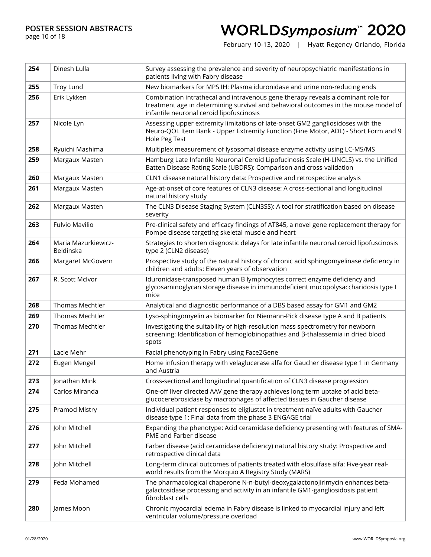page 10 of 18

## WORLDSymposium™ 2020

| 254 | Dinesh Lulla                     | Survey assessing the prevalence and severity of neuropsychiatric manifestations in<br>patients living with Fabry disease                                                                                            |
|-----|----------------------------------|---------------------------------------------------------------------------------------------------------------------------------------------------------------------------------------------------------------------|
| 255 | <b>Troy Lund</b>                 | New biomarkers for MPS IH: Plasma iduronidase and urine non-reducing ends                                                                                                                                           |
| 256 | Erik Lykken                      | Combination intrathecal and intravenous gene therapy reveals a dominant role for<br>treatment age in determining survival and behavioral outcomes in the mouse model of<br>infantile neuronal ceroid lipofuscinosis |
| 257 | Nicole Lyn                       | Assessing upper extremity limitations of late-onset GM2 gangliosidoses with the<br>Neuro-QOL Item Bank - Upper Extremity Function (Fine Motor, ADL) - Short Form and 9<br>Hole Peg Test                             |
| 258 | Ryuichi Mashima                  | Multiplex measurement of lysosomal disease enzyme activity using LC-MS/MS                                                                                                                                           |
| 259 | Margaux Masten                   | Hamburg Late Infantile Neuronal Ceroid Lipofucinosis Scale (H-LINCLS) vs. the Unified<br>Batten Disease Rating Scale (UBDRS): Comparison and cross-validation                                                       |
| 260 | Margaux Masten                   | CLN1 disease natural history data: Prospective and retrospective analysis                                                                                                                                           |
| 261 | Margaux Masten                   | Age-at-onset of core features of CLN3 disease: A cross-sectional and longitudinal<br>natural history study                                                                                                          |
| 262 | Margaux Masten                   | The CLN3 Disease Staging System (CLN3SS): A tool for stratification based on disease<br>severity                                                                                                                    |
| 263 | Fulvio Mavilio                   | Pre-clinical safety and efficacy findings of AT845, a novel gene replacement therapy for<br>Pompe disease targeting skeletal muscle and heart                                                                       |
| 264 | Maria Mazurkiewicz-<br>Beldinska | Strategies to shorten diagnostic delays for late infantile neuronal ceroid lipofuscinosis<br>type 2 (CLN2 disease)                                                                                                  |
| 266 | Margaret McGovern                | Prospective study of the natural history of chronic acid sphingomyelinase deficiency in<br>children and adults: Eleven years of observation                                                                         |
| 267 | R. Scott McIvor                  | Iduronidase-transposed human B lymphocytes correct enzyme deficiency and<br>glycosaminoglycan storage disease in immunodeficient mucopolysaccharidosis type I<br>mice                                               |
| 268 | Thomas Mechtler                  | Analytical and diagnostic performance of a DBS based assay for GM1 and GM2                                                                                                                                          |
| 269 | <b>Thomas Mechtler</b>           | Lyso-sphingomyelin as biomarker for Niemann-Pick disease type A and B patients                                                                                                                                      |
| 270 | Thomas Mechtler                  | Investigating the suitability of high-resolution mass spectrometry for newborn<br>screening: Identification of hemoglobinopathies and $\beta$ -thalassemia in dried blood<br>spots                                  |
| 271 | Lacie Mehr                       | Facial phenotyping in Fabry using Face2Gene                                                                                                                                                                         |
| 272 | Eugen Mengel                     | Home infusion therapy with velaglucerase alfa for Gaucher disease type 1 in Germany<br>and Austria                                                                                                                  |
| 273 | Jonathan Mink                    | Cross-sectional and longitudinal quantification of CLN3 disease progression                                                                                                                                         |
| 274 | Carlos Miranda                   | One-off liver directed AAV gene therapy achieves long term uptake of acid beta-<br>glucocerebrosidase by macrophages of affected tissues in Gaucher disease                                                         |
| 275 | Pramod Mistry                    | Individual patient responses to eliglustat in treatment-naïve adults with Gaucher<br>disease type 1: Final data from the phase 3 ENGAGE trial                                                                       |
| 276 | John Mitchell                    | Expanding the phenotype: Acid ceramidase deficiency presenting with features of SMA-<br>PME and Farber disease                                                                                                      |
| 277 | John Mitchell                    | Farber disease (acid ceramidase deficiency) natural history study: Prospective and<br>retrospective clinical data                                                                                                   |
| 278 | John Mitchell                    | Long-term clinical outcomes of patients treated with elosulfase alfa: Five-year real-<br>world results from the Morquio A Registry Study (MARS)                                                                     |
| 279 | Feda Mohamed                     | The pharmacological chaperone N-n-butyl-deoxygalactonojirimycin enhances beta-<br>galactosidase processing and activity in an infantile GM1-gangliosidosis patient<br>fibroblast cells                              |
| 280 | James Moon                       | Chronic myocardial edema in Fabry disease is linked to myocardial injury and left<br>ventricular volume/pressure overload                                                                                           |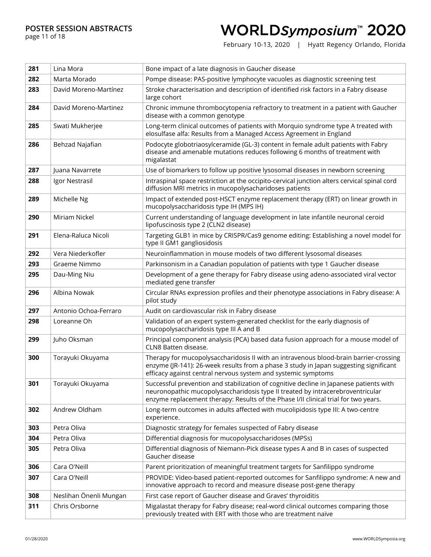page 11 of 18

## WORLDSymposium™ 2020

| 281 | Lina Mora              | Bone impact of a late diagnosis in Gaucher disease                                                                                                                                                                                                              |
|-----|------------------------|-----------------------------------------------------------------------------------------------------------------------------------------------------------------------------------------------------------------------------------------------------------------|
| 282 | Marta Morado           | Pompe disease: PAS-positive lymphocyte vacuoles as diagnostic screening test                                                                                                                                                                                    |
| 283 | David Moreno-Martínez  | Stroke characterisation and description of identified risk factors in a Fabry disease<br>large cohort                                                                                                                                                           |
| 284 | David Moreno-Martinez  | Chronic immune thrombocytopenia refractory to treatment in a patient with Gaucher<br>disease with a common genotype                                                                                                                                             |
| 285 | Swati Mukherjee        | Long-term clinical outcomes of patients with Morquio syndrome type A treated with<br>elosulfase alfa: Results from a Managed Access Agreement in England                                                                                                        |
| 286 | Behzad Najafian        | Podocyte globotriaosylceramide (GL-3) content in female adult patients with Fabry<br>disease and amenable mutations reduces following 6 months of treatment with<br>migalastat                                                                                  |
| 287 | Juana Navarrete        | Use of biomarkers to follow up positive lysosomal diseases in newborn screening                                                                                                                                                                                 |
| 288 | Igor Nestrasil         | Intraspinal space restriction at the occipito-cervical junction alters cervical spinal cord<br>diffusion MRI metrics in mucopolysacharidoses patients                                                                                                           |
| 289 | Michelle Ng            | Impact of extended post-HSCT enzyme replacement therapy (ERT) on linear growth in<br>mucopolysaccharidosis type IH (MPS IH)                                                                                                                                     |
| 290 | Miriam Nickel          | Current understanding of language development in late infantile neuronal ceroid<br>lipofuscinosis type 2 (CLN2 disease)                                                                                                                                         |
| 291 | Elena-Raluca Nicoli    | Targeting GLB1 in mice by CRISPR/Cas9 genome editing: Establishing a novel model for<br>type II GM1 gangliosidosis                                                                                                                                              |
| 292 | Vera Niederkofler      | Neuroinflammation in mouse models of two different lysosomal diseases                                                                                                                                                                                           |
| 293 | Graeme Nimmo           | Parkinsonism in a Canadian population of patients with type 1 Gaucher disease                                                                                                                                                                                   |
| 295 | Dau-Ming Niu           | Development of a gene therapy for Fabry disease using adeno-associated viral vector<br>mediated gene transfer                                                                                                                                                   |
| 296 | Albina Nowak           | Circular RNAs expression profiles and their phenotype associations in Fabry disease: A<br>pilot study                                                                                                                                                           |
| 297 | Antonio Ochoa-Ferraro  | Audit on cardiovascular risk in Fabry disease                                                                                                                                                                                                                   |
| 298 | Loreanne Oh            | Validation of an expert system-generated checklist for the early diagnosis of<br>mucopolysaccharidosis type III A and B                                                                                                                                         |
| 299 | Juho Oksman            | Principal component analysis (PCA) based data fusion approach for a mouse model of<br>CLN8 Batten disease.                                                                                                                                                      |
| 300 | Torayuki Okuyama       | Therapy for mucopolysaccharidosis II with an intravenous blood-brain barrier-crossing<br>enzyme (JR-141): 26-week results from a phase 3 study in Japan suggesting significant<br>efficacy against central nervous system and systemic symptoms                 |
| 301 | Torayuki Okuyama       | Successful prevention and stabilization of cognitive decline in Japanese patients with<br>neuronopathic mucopolysaccharidosis type II treated by intracerebroventricular<br>enzyme replacement therapy: Results of the Phase I/II clinical trial for two years. |
| 302 | Andrew Oldham          | Long-term outcomes in adults affected with mucolipidosis type III: A two-centre<br>experience.                                                                                                                                                                  |
| 303 | Petra Oliva            | Diagnostic strategy for females suspected of Fabry disease                                                                                                                                                                                                      |
| 304 | Petra Oliva            | Differential diagnosis for mucopolysaccharidoses (MPSs)                                                                                                                                                                                                         |
| 305 | Petra Oliva            | Differential diagnosis of Niemann-Pick disease types A and B in cases of suspected<br>Gaucher disease                                                                                                                                                           |
| 306 | Cara O'Neill           | Parent prioritization of meaningful treatment targets for Sanfilippo syndrome                                                                                                                                                                                   |
| 307 | Cara O'Neill           | PROVIDE: Video-based patient-reported outcomes for Sanfilippo syndrome: A new and<br>innovative approach to record and measure disease post-gene therapy                                                                                                        |
| 308 | Neslihan Önenli Mungan | First case report of Gaucher disease and Graves' thyroiditis                                                                                                                                                                                                    |
| 311 | Chris Orsborne         | Migalastat therapy for Fabry disease; real-word clinical outcomes comparing those<br>previously treated with ERT with those who are treatment naïve                                                                                                             |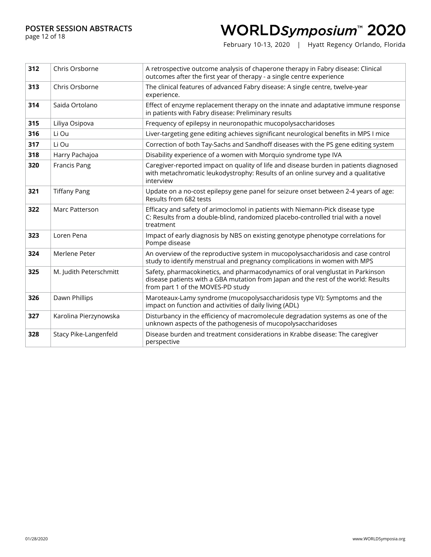page 12 of 18

## WORLDSymposium™ 2020

| 312 | Chris Orsborne         | A retrospective outcome analysis of chaperone therapy in Fabry disease: Clinical<br>outcomes after the first year of therapy - a single centre experience                                                 |
|-----|------------------------|-----------------------------------------------------------------------------------------------------------------------------------------------------------------------------------------------------------|
| 313 | Chris Orsborne         | The clinical features of advanced Fabry disease: A single centre, twelve-year<br>experience.                                                                                                              |
| 314 | Saida Ortolano         | Effect of enzyme replacement therapy on the innate and adaptative immune response<br>in patients with Fabry disease: Preliminary results                                                                  |
| 315 | Liliya Osipova         | Frequency of epilepsy in neuronopathic mucopolysaccharidoses                                                                                                                                              |
| 316 | Li Ou                  | Liver-targeting gene editing achieves significant neurological benefits in MPS I mice                                                                                                                     |
| 317 | Li Ou                  | Correction of both Tay-Sachs and Sandhoff diseases with the PS gene editing system                                                                                                                        |
| 318 | Harry Pachajoa         | Disability experience of a women with Morquio syndrome type IVA                                                                                                                                           |
| 320 | <b>Francis Pang</b>    | Caregiver-reported impact on quality of life and disease burden in patients diagnosed<br>with metachromatic leukodystrophy: Results of an online survey and a qualitative<br>interview                    |
| 321 | <b>Tiffany Pang</b>    | Update on a no-cost epilepsy gene panel for seizure onset between 2-4 years of age:<br>Results from 682 tests                                                                                             |
| 322 | Marc Patterson         | Efficacy and safety of arimoclomol in patients with Niemann-Pick disease type<br>C: Results from a double-blind, randomized placebo-controlled trial with a novel<br>treatment                            |
| 323 | Loren Pena             | Impact of early diagnosis by NBS on existing genotype phenotype correlations for<br>Pompe disease                                                                                                         |
| 324 | Merlene Peter          | An overview of the reproductive system in mucopolysaccharidosis and case control<br>study to identify menstrual and pregnancy complications in women with MPS                                             |
| 325 | M. Judith Peterschmitt | Safety, pharmacokinetics, and pharmacodynamics of oral venglustat in Parkinson<br>disease patients with a GBA mutation from Japan and the rest of the world: Results<br>from part 1 of the MOVES-PD study |
| 326 | Dawn Phillips          | Maroteaux-Lamy syndrome (mucopolysaccharidosis type VI): Symptoms and the<br>impact on function and activities of daily living (ADL)                                                                      |
| 327 | Karolina Pierzynowska  | Disturbancy in the efficiency of macromolecule degradation systems as one of the<br>unknown aspects of the pathogenesis of mucopolysaccharidoses                                                          |
| 328 | Stacy Pike-Langenfeld  | Disease burden and treatment considerations in Krabbe disease: The caregiver<br>perspective                                                                                                               |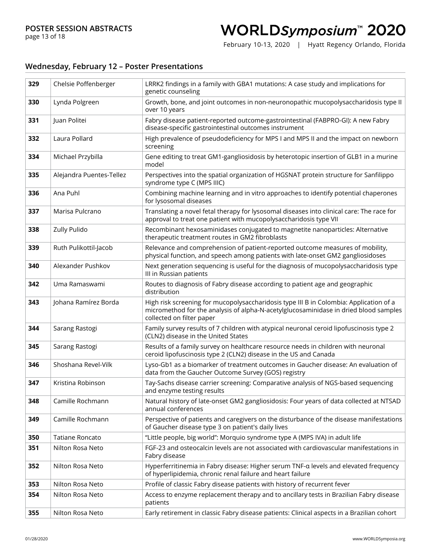## WORLDSymposium™ 2020

February 10-13, 2020 | Hyatt Regency Orlando, Florida

#### **Wednesday, February 12 – Poster Presentations**

| 329 | Chelsie Poffenberger     | LRRK2 findings in a family with GBA1 mutations: A case study and implications for<br>genetic counseling                                                                                                     |
|-----|--------------------------|-------------------------------------------------------------------------------------------------------------------------------------------------------------------------------------------------------------|
| 330 | Lynda Polgreen           | Growth, bone, and joint outcomes in non-neuronopathic mucopolysaccharidosis type II<br>over 10 years                                                                                                        |
| 331 | Juan Politei             | Fabry disease patient-reported outcome-gastrointestinal (FABPRO-GI): A new Fabry<br>disease-specific gastrointestinal outcomes instrument                                                                   |
| 332 | Laura Pollard            | High prevalence of pseudodeficiency for MPS I and MPS II and the impact on newborn<br>screening                                                                                                             |
| 334 | Michael Przybilla        | Gene editing to treat GM1-gangliosidosis by heterotopic insertion of GLB1 in a murine<br>model                                                                                                              |
| 335 | Alejandra Puentes-Tellez | Perspectives into the spatial organization of HGSNAT protein structure for Sanfilippo<br>syndrome type C (MPS IIIC)                                                                                         |
| 336 | Ana Puhl                 | Combining machine learning and in vitro approaches to identify potential chaperones<br>for lysosomal diseases                                                                                               |
| 337 | Marisa Pulcrano          | Translating a novel fetal therapy for lysosomal diseases into clinical care: The race for<br>approval to treat one patient with mucopolysaccharidosis type VII                                              |
| 338 | Zully Pulido             | Recombinant hexosaminidases conjugated to magnetite nanoparticles: Alternative<br>therapeutic treatment routes in GM2 fibroblasts                                                                           |
| 339 | Ruth Pulikottil-Jacob    | Relevance and comprehension of patient-reported outcome measures of mobility,<br>physical function, and speech among patients with late-onset GM2 gangliosidoses                                            |
| 340 | Alexander Pushkov        | Next generation sequencing is useful for the diagnosis of mucopolysaccharidosis type<br>III in Russian patients                                                                                             |
| 342 | Uma Ramaswami            | Routes to diagnosis of Fabry disease according to patient age and geographic<br>distribution                                                                                                                |
| 343 | Johana Ramírez Borda     | High risk screening for mucopolysaccharidosis type III B in Colombia: Application of a<br>micromethod for the analysis of alpha-N-acetylglucosaminidase in dried blood samples<br>collected on filter paper |
| 344 | Sarang Rastogi           | Family survey results of 7 children with atypical neuronal ceroid lipofuscinosis type 2<br>(CLN2) disease in the United States                                                                              |
| 345 | Sarang Rastogi           | Results of a family survey on healthcare resource needs in children with neuronal<br>ceroid lipofuscinosis type 2 (CLN2) disease in the US and Canada                                                       |
| 346 | Shoshana Revel-Vilk      | Lyso-Gb1 as a biomarker of treatment outcomes in Gaucher disease: An evaluation of<br>data from the Gaucher Outcome Survey (GOS) registry                                                                   |
| 347 | Kristina Robinson        | Tay-Sachs disease carrier screening: Comparative analysis of NGS-based sequencing<br>and enzyme testing results                                                                                             |
| 348 | Camille Rochmann         | Natural history of late-onset GM2 gangliosidosis: Four years of data collected at NTSAD<br>annual conferences                                                                                               |
| 349 | Camille Rochmann         | Perspective of patients and caregivers on the disturbance of the disease manifestations<br>of Gaucher disease type 3 on patient's daily lives                                                               |
| 350 | Tatiane Roncato          | "Little people, big world": Morquio syndrome type A (MPS IVA) in adult life                                                                                                                                 |
| 351 | Nilton Rosa Neto         | FGF-23 and osteocalcin levels are not associated with cardiovascular manifestations in<br>Fabry disease                                                                                                     |
| 352 | Nilton Rosa Neto         | Hyperferritinemia in Fabry disease: Higher serum TNF-a levels and elevated frequency<br>of hyperlipidemia, chronic renal failure and heart failure                                                          |
| 353 | Nilton Rosa Neto         | Profile of classic Fabry disease patients with history of recurrent fever                                                                                                                                   |
| 354 | Nilton Rosa Neto         | Access to enzyme replacement therapy and to ancillary tests in Brazilian Fabry disease<br>patients                                                                                                          |
| 355 | Nilton Rosa Neto         | Early retirement in classic Fabry disease patients: Clinical aspects in a Brazilian cohort                                                                                                                  |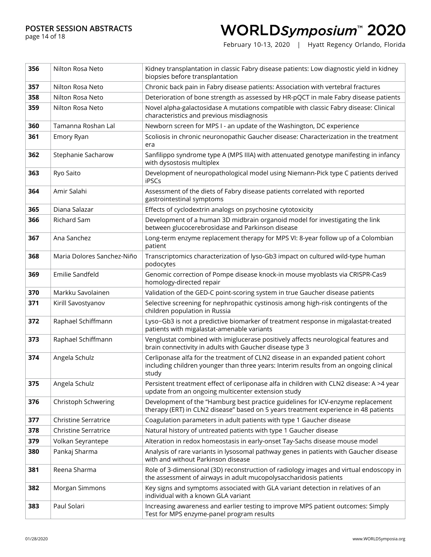page 14 of 18

## WORLDSymposium™ 2020

| 356 | Nilton Rosa Neto            | Kidney transplantation in classic Fabry disease patients: Low diagnostic yield in kidney<br>biopsies before transplantation                                                        |
|-----|-----------------------------|------------------------------------------------------------------------------------------------------------------------------------------------------------------------------------|
| 357 | Nilton Rosa Neto            | Chronic back pain in Fabry disease patients: Association with vertebral fractures                                                                                                  |
| 358 | Nilton Rosa Neto            | Deterioration of bone strength as assessed by HR-pQCT in male Fabry disease patients                                                                                               |
| 359 | Nilton Rosa Neto            | Novel alpha-galactosidase A mutations compatible with classic Fabry disease: Clinical<br>characteristics and previous misdiagnosis                                                 |
| 360 | Tamanna Roshan Lal          | Newborn screen for MPS I - an update of the Washington, DC experience                                                                                                              |
| 361 | Emory Ryan                  | Scoliosis in chronic neuronopathic Gaucher disease: Characterization in the treatment<br>era                                                                                       |
| 362 | Stephanie Sacharow          | Sanfilippo syndrome type A (MPS IIIA) with attenuated genotype manifesting in infancy<br>with dysostosis multiplex                                                                 |
| 363 | Ryo Saito                   | Development of neuropathological model using Niemann-Pick type C patients derived<br><b>iPSCs</b>                                                                                  |
| 364 | Amir Salahi                 | Assessment of the diets of Fabry disease patients correlated with reported<br>gastrointestinal symptoms                                                                            |
| 365 | Diana Salazar               | Effects of cyclodextrin analogs on psychosine cytotoxicity                                                                                                                         |
| 366 | <b>Richard Sam</b>          | Development of a human 3D midbrain organoid model for investigating the link<br>between glucocerebrosidase and Parkinson disease                                                   |
| 367 | Ana Sanchez                 | Long-term enzyme replacement therapy for MPS VI: 8-year follow up of a Colombian<br>patient                                                                                        |
| 368 | Maria Dolores Sanchez-Niño  | Transcriptomics characterization of lyso-Gb3 impact on cultured wild-type human<br>podocytes                                                                                       |
| 369 | Emilie Sandfeld             | Genomic correction of Pompe disease knock-in mouse myoblasts via CRISPR-Cas9<br>homology-directed repair                                                                           |
| 370 | Markku Savolainen           | Validation of the GED-C point-scoring system in true Gaucher disease patients                                                                                                      |
| 371 | Kirill Savostyanov          | Selective screening for nephropathic cystinosis among high-risk contingents of the<br>children population in Russia                                                                |
| 372 | Raphael Schiffmann          | Lyso-Gb3 is not a predictive biomarker of treatment response in migalastat-treated<br>patients with migalastat-amenable variants                                                   |
| 373 | Raphael Schiffmann          | Venglustat combined with imiglucerase positively affects neurological features and<br>brain connectivity in adults with Gaucher disease type 3                                     |
| 374 | Angela Schulz               | Cerliponase alfa for the treatment of CLN2 disease in an expanded patient cohort<br>including children younger than three years: Interim results from an ongoing clinical<br>study |
| 375 | Angela Schulz               | Persistent treatment effect of cerliponase alfa in children with CLN2 disease: A >4 year<br>update from an ongoing multicenter extension study                                     |
| 376 | Christoph Schwering         | Development of the "Hamburg best practice guidelines for ICV-enzyme replacement<br>therapy (ERT) in CLN2 disease" based on 5 years treatment experience in 48 patients             |
| 377 | <b>Christine Serratrice</b> | Coagulation parameters in adult patients with type 1 Gaucher disease                                                                                                               |
| 378 | <b>Christine Serratrice</b> | Natural history of untreated patients with type 1 Gaucher disease                                                                                                                  |
| 379 | Volkan Seyrantepe           | Alteration in redox homeostasis in early-onset Tay-Sachs disease mouse model                                                                                                       |
| 380 | Pankaj Sharma               | Analysis of rare variants in lysosomal pathway genes in patients with Gaucher disease<br>with and without Parkinson disease                                                        |
| 381 | Reena Sharma                | Role of 3-dimensional (3D) reconstruction of radiology images and virtual endoscopy in<br>the assessment of airways in adult mucopolysaccharidosis patients                        |
|     |                             |                                                                                                                                                                                    |
| 382 | Morgan Simmons              | Key signs and symptoms associated with GLA variant detection in relatives of an<br>individual with a known GLA variant                                                             |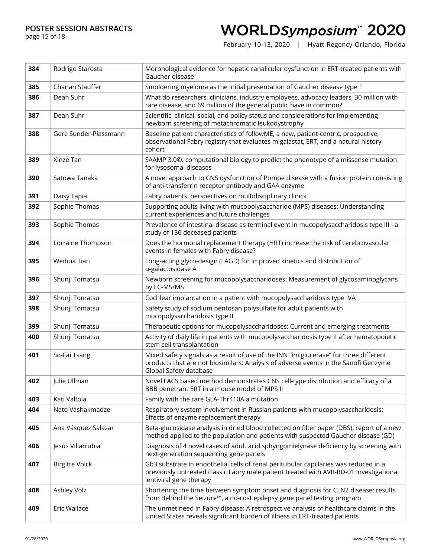page 15 of 18

## WORLDSymposium™ 2020

| 384 | Rodrigo Starosta      | Morphological evidence for hepatic canalicular dysfunction in ERT-treated patients with<br>Gaucher disease                                                                                                |
|-----|-----------------------|-----------------------------------------------------------------------------------------------------------------------------------------------------------------------------------------------------------|
| 385 | Chanan Stauffer       | Smoldering myeloma as the initial presentation of Gaucher disease type 1                                                                                                                                  |
| 386 | Dean Suhr             | What do researchers, clinicians, industry employees, advocacy leaders, 30 million with<br>rare disease, and 69 million of the general public have in common?                                              |
| 387 | Dean Suhr             | Scientific, clinical, social, and policy status and considerations for implementing<br>newborn screening of metachromatic leukodystrophy                                                                  |
| 388 | Gere Sunder-Plassmann | Baseline patient characteristics of followME, a new, patient-centric, prospective,<br>observational Fabry registry that evaluates migalastat, ERT, and a natural history<br>cohort                        |
| 389 | Xinze Tan             | SAAMP 3.0©: computational biology to predict the phenotype of a missense mutation<br>for lysosomal diseases                                                                                               |
| 390 | Satowa Tanaka         | A novel approach to CNS dysfunction of Pompe disease with a fusion protein consisting<br>of anti-transferrin receptor antibody and GAA enzyme                                                             |
| 391 | Daisy Tapia           | Fabry patients' perspectives on multidisciplinary clinics                                                                                                                                                 |
| 392 | Sophie Thomas         | Supporting adults living with mucopolysaccharide (MPS) diseases: Understanding<br>current experiences and future challenges                                                                               |
| 393 | Sophie Thomas         | Prevalence of intestinal disease as terminal event in mucopolysaccharidosis type III - a<br>study of 136 deceased patients                                                                                |
| 394 | Lorraine Thompson     | Does the hormonal replacement therapy (HRT) increase the risk of cerebrovascular<br>events in females with Fabry disease?                                                                                 |
| 395 | Weihua Tian           | Long-acting glyco-design (LAGD) for improved kinetics and distribution of<br>a-galactosidase A                                                                                                            |
| 396 | Shunji Tomatsu        | Newborn screening for mucopolysaccharidoses: Measurement of glycosaminoglycans<br>by LC-MS/MS                                                                                                             |
| 397 | Shunji Tomatsu        | Cochlear implantation in a patient with mucopolysaccharidosis type IVA                                                                                                                                    |
| 398 | Shunji Tomatsu        | Safety study of sodium pentosan polysulfate for adult patients with<br>mucopolysaccharidosis type II                                                                                                      |
| 399 | Shunji Tomatsu        | Therapeutic options for mucopolysaccharidoses: Current and emerging treatments                                                                                                                            |
| 400 | Shunji Tomatsu        | Activity of daily life in patients with mucopolysaccharidosis type II after hematopoietic<br>stem cell transplantation                                                                                    |
| 401 | So-Fai Tsang          | Mixed safety signals as a result of use of the INN "imiglucerase" for three different<br>products that are not biosimilars: Analysis of adverse events in the Sanofi Genzyme<br>Global Safety database    |
| 402 | Julie Ullman          | Novel FACS based method demonstrates CNS cell-type distribution and efficacy of a<br>BBB penetrant ERT in a mouse model of MPS II                                                                         |
| 403 | Kati Valtola          | Family with the rare GLA-Thr410Ala mutation                                                                                                                                                               |
| 404 | Nato Vashakmadze      | Respiratory system involvement in Russian patients with mucopolysaccharidosis:<br>Effects of enzyme replacement therapy                                                                                   |
| 405 | Ana Vásquez Salazar   | Beta-glucosidase analysis in dried blood collected on filter paper (DBS), report of a new<br>method applied to the population and patients with suspected Gaucher disease (GD)                            |
| 406 | Jesús Villarrubia     | Diagnosis of 4 novel cases of adult acid sphyngomielynase deficiency by screening with<br>next-generation sequencing gene panels                                                                          |
| 407 | <b>Birgitte Volck</b> | Gb3 substrate in endothelial cells of renal peritubular capillaries was reduced in a<br>previously untreated classic Fabry male patient treated with AVR-RD-01 investigational<br>lentiviral gene therapy |
| 408 | Ashley Volz           | Shortening the time between symptom onset and diagnosis for CLN2 disease: results<br>from Behind the Seizure™, a no-cost epilepsy gene panel testing program                                              |
| 409 | Eric Wallace          | The unmet need in Fabry disease: A retrospective analysis of healthcare claims in the<br>United States reveals significant burden of illness in ERT-treated patients                                      |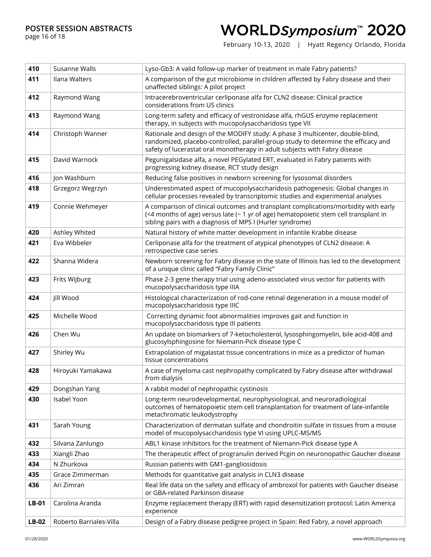page 16 of 18

# WORLDSymposium™ 2020

| 410     | Susanne Walls           | Lyso-Gb3: A valid follow-up marker of treatment in male Fabry patients?                                                                                                                                                                            |
|---------|-------------------------|----------------------------------------------------------------------------------------------------------------------------------------------------------------------------------------------------------------------------------------------------|
| 411     | Ilana Walters           | A comparison of the gut microbiome in children affected by Fabry disease and their<br>unaffected siblings: A pilot project                                                                                                                         |
| 412     | Raymond Wang            | Intracerebroventricular cerliponase alfa for CLN2 disease: Clinical practice<br>considerations from US clinics                                                                                                                                     |
| 413     | Raymond Wang            | Long-term safety and efficacy of vestronidase alfa, rhGUS enzyme replacement<br>therapy, in subjects with mucopolysaccharidosis type VII                                                                                                           |
| 414     | Christoph Wanner        | Rationale and design of the MODIFY study: A phase 3 multicenter, double-blind,<br>randomized, placebo-controlled, parallel-group study to determine the efficacy and<br>safety of lucerastat oral monotherapy in adult subjects with Fabry disease |
| 415     | David Warnock           | Pegunigalsidase alfa, a novel PEGylated ERT, evaluated in Fabry patients with<br>progressing kidney disease, RCT study design                                                                                                                      |
| 416     | Jon Washburn            | Reducing false positives in newborn screening for lysosomal disorders                                                                                                                                                                              |
| 418     | Grzegorz Wegrzyn        | Underestimated aspect of mucopolysaccharidosis pathogenesis: Global changes in<br>cellular processes revealed by transcriptomic studies and experimental analyses                                                                                  |
| 419     | Connie Wehmeyer         | A comparison of clinical outcomes and transplant complications/morbidity with early<br>(<4 months of age) versus late (~ 1 yr of age) hematopoietic stem cell transplant in<br>sibling pairs with a diagnosis of MPS I (Hurler syndrome)           |
| 420     | Ashley Whited           | Natural history of white matter development in infantile Krabbe disease                                                                                                                                                                            |
| 421     | Eva Wibbeler            | Cerliponase alfa for the treatment of atypical phenotypes of CLN2 disease: A<br>retrospective case series                                                                                                                                          |
| 422     | Shanna Widera           | Newborn screening for Fabry disease in the state of Illinois has led to the development<br>of a unique clinic called "Fabry Family Clinic"                                                                                                         |
| 423     | Frits Wijburg           | Phase 2-3 gene therapy trial using adeno-associated virus vector for patients with<br>mucopolysaccharidosis type IIIA                                                                                                                              |
| 424     | Jill Wood               | Histological characterization of rod-cone retinal degeneration in a mouse model of<br>mucopolysaccharidosis type IIIC                                                                                                                              |
| 425     | Michelle Wood           | Correcting dynamic foot abnormalities improves gait and function in<br>mucopolysaccharidosis type III patients                                                                                                                                     |
| 426     | Chen Wu                 | An update on biomarkers of 7-ketocholesterol, lysosphingomyelin, bile acid-408 and<br>glucosylsphingosine for Niemann-Pick disease type C                                                                                                          |
| 427     | Shirley Wu              | Extrapolation of migalastat tissue concentrations in mice as a predictor of human<br>tissue concentrations                                                                                                                                         |
| 428     | Hiroyuki Yamakawa       | A case of myeloma cast nephropathy complicated by Fabry disease after withdrawal<br>from dialysis                                                                                                                                                  |
| 429     | Dongshan Yang           | A rabbit model of nephropathic cystinosis                                                                                                                                                                                                          |
| 430     | Isabel Yoon             | Long-term neurodevelopmental, neurophysiological, and neuroradiological<br>outcomes of hematopoietic stem cell transplantation for treatment of late-infantile<br>metachromatic leukodystrophy                                                     |
| 431     | Sarah Young             | Characterization of dermatan sulfate and chondroitin sulfate in tissues from a mouse<br>model of mucopolysaccharidosis type VI using UPLC-MS/MS                                                                                                    |
| 432     | Silvana Zanlungo        | ABL1 kinase inhibitors for the treatment of Niemann-Pick disease type A                                                                                                                                                                            |
| 433     | Xiangli Zhao            | The therapeutic effect of progranulin derived Pcgin on neuronopathic Gaucher disease                                                                                                                                                               |
| 434     | N Zhurkova              | Russian patients with GM1-gangliosidosis                                                                                                                                                                                                           |
| 435     | Grace Zimmerman         | Methods for quantitative gait analysis in CLN3 disease                                                                                                                                                                                             |
| 436     | Ari Zimran              | Real life data on the safety and efficacy of ambroxol for patients with Gaucher disease<br>or GBA-related Parkinson disease                                                                                                                        |
| LB-01   | Carolina Aranda         | Enzyme replacement therapy (ERT) with rapid desensitization protocol: Latin America<br>experience                                                                                                                                                  |
| $LB-02$ | Roberto Barriales-Villa | Design of a Fabry disease pedigree project in Spain: Red Fabry, a novel approach                                                                                                                                                                   |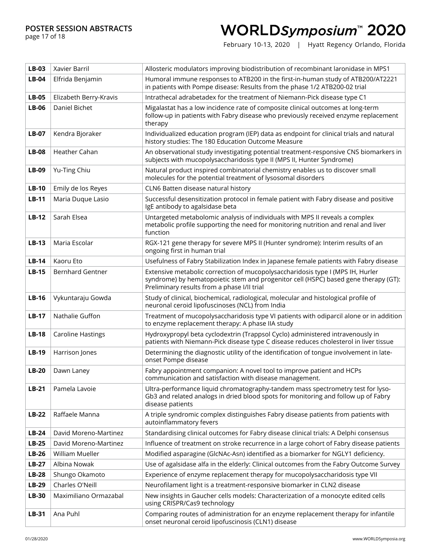page 17 of 18

## WORLDSymposium™ 2020

| LB-03        | Xavier Barril            | Allosteric modulators improving biodistribution of recombinant laronidase in MPS1                                                                                                                                    |
|--------------|--------------------------|----------------------------------------------------------------------------------------------------------------------------------------------------------------------------------------------------------------------|
| $LB-04$      | Elfrida Benjamin         | Humoral immune responses to ATB200 in the first-in-human study of ATB200/AT2221<br>in patients with Pompe disease: Results from the phase 1/2 ATB200-02 trial                                                        |
| <b>LB-05</b> | Elizabeth Berry-Kravis   | Intrathecal adrabetadex for the treatment of Niemann-Pick disease type C1                                                                                                                                            |
| $LB-06$      | Daniel Bichet            | Migalastat has a low incidence rate of composite clinical outcomes at long-term<br>follow-up in patients with Fabry disease who previously received enzyme replacement<br>therapy                                    |
| <b>LB-07</b> | Kendra Bjoraker          | Individualized education program (IEP) data as endpoint for clinical trials and natural<br>history studies: The 180 Education Outcome Measure                                                                        |
| <b>LB-08</b> | Heather Cahan            | An observational study investigating potential treatment-responsive CNS biomarkers in<br>subjects with mucopolysaccharidosis type II (MPS II, Hunter Syndrome)                                                       |
| LB-09        | Yu-Ting Chiu             | Natural product inspired combinatorial chemistry enables us to discover small<br>molecules for the potential treatment of lysosomal disorders                                                                        |
| $LB-10$      | Emily de los Reyes       | CLN6 Batten disease natural history                                                                                                                                                                                  |
| $LB-11$      | Maria Duque Lasio        | Successful desensitization protocol in female patient with Fabry disease and positive<br>IgE antibody to agalsidase beta                                                                                             |
| $LB-12$      | Sarah Elsea              | Untargeted metabolomic analysis of individuals with MPS II reveals a complex<br>metabolic profile supporting the need for monitoring nutrition and renal and liver<br>function                                       |
| $LB-13$      | Maria Escolar            | RGX-121 gene therapy for severe MPS II (Hunter syndrome): Interim results of an<br>ongoing first in human trial                                                                                                      |
| $LB-14$      | Kaoru Eto                | Usefulness of Fabry Stabilization Index in Japanese female patients with Fabry disease                                                                                                                               |
| <b>LB-15</b> | <b>Bernhard Gentner</b>  | Extensive metabolic correction of mucopolysaccharidosis type I (MPS IH, Hurler<br>syndrome) by hematopoietic stem and progenitor cell (HSPC) based gene therapy (GT):<br>Preliminary results from a phase I/II trial |
| $LB-16$      | Vykuntaraju Gowda        | Study of clinical, biochemical, radiological, molecular and histological profile of<br>neuronal ceroid lipofuscinoses (NCL) from India                                                                               |
| $LB-17$      | Nathalie Guffon          | Treatment of mucopolysaccharidosis type VI patients with odiparcil alone or in addition<br>to enzyme replacement therapy: A phase IIA study                                                                          |
| <b>LB-18</b> | <b>Caroline Hastings</b> | Hydroxypropyl beta cyclodextrin (Trappsol Cyclo) administered intravenously in<br>patients with Niemann-Pick disease type C disease reduces cholesterol in liver tissue                                              |
| $LB-19$      | Harrison Jones           | Determining the diagnostic utility of the identification of tongue involvement in late-<br>onset Pompe disease                                                                                                       |
| $LB-20$      | Dawn Laney               | Fabry appointment companion: A novel tool to improve patient and HCPs<br>communication and satisfaction with disease management.                                                                                     |
| $LB-21$      | Pamela Lavoie            | Ultra-performance liquid chromatography-tandem mass spectrometry test for lyso-<br>Gb3 and related analogs in dried blood spots for monitoring and follow up of Fabry<br>disease patients                            |
| $LB-22$      | Raffaele Manna           | A triple syndromic complex distinguishes Fabry disease patients from patients with<br>autoinflammatory fevers                                                                                                        |
| $LB-24$      | David Moreno-Martinez    | Standardising clinical outcomes for Fabry disease clinical trials: A Delphi consensus                                                                                                                                |
| $LB-25$      | David Moreno-Martinez    | Influence of treatment on stroke recurrence in a large cohort of Fabry disease patients                                                                                                                              |
| $LB-26$      | William Mueller          | Modified asparagine (GlcNAc-Asn) identified as a biomarker for NGLY1 deficiency.                                                                                                                                     |
| $LB-27$      | Albina Nowak             | Use of agalsidase alfa in the elderly: Clinical outcomes from the Fabry Outcome Survey                                                                                                                               |
| $LB-28$      | Shungo Okamoto           | Experience of enzyme replacement therapy for mucopolysaccharidosis type VII                                                                                                                                          |
| <b>LB-29</b> | Charles O'Neill          | Neurofilament light is a treatment-responsive biomarker in CLN2 disease                                                                                                                                              |
| <b>LB-30</b> | Maximiliano Ormazabal    | New insights in Gaucher cells models: Characterization of a monocyte edited cells<br>using CRISPR/Cas9 technology                                                                                                    |
| LB-31        | Ana Puhl                 | Comparing routes of administration for an enzyme replacement therapy for infantile<br>onset neuronal ceroid lipofuscinosis (CLN1) disease                                                                            |